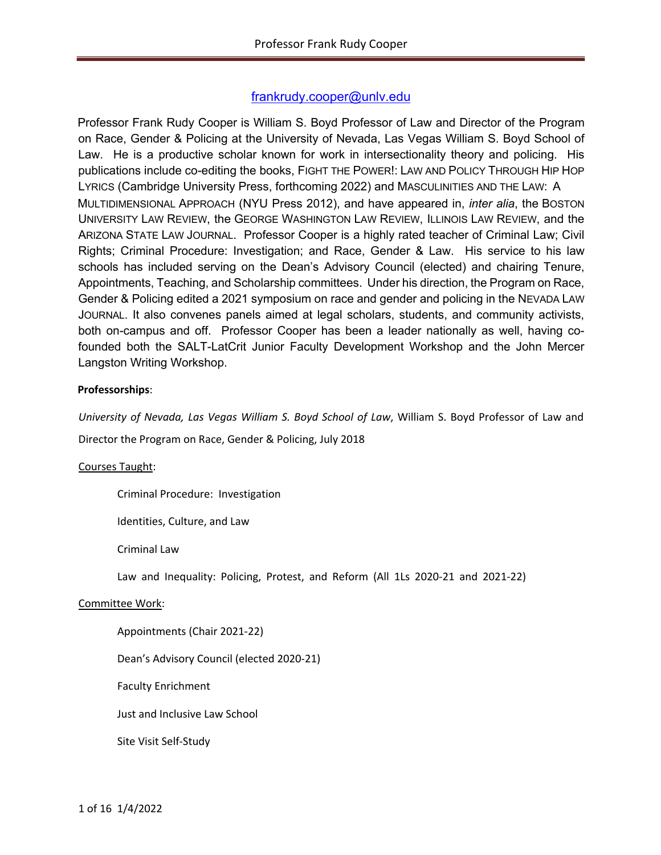# frankrudy.cooper@unlv.edu

Professor Frank Rudy Cooper is William S. Boyd Professor of Law and Director of the Program on Race, Gender & Policing at the University of Nevada, Las Vegas William S. Boyd School of Law. He is a productive scholar known for work in intersectionality theory and policing. His publications include co-editing the books, FIGHT THE POWER!: LAW AND POLICY THROUGH HIP HOP LYRICS (Cambridge University Press, forthcoming 2022) and MASCULINITIES AND THE LAW: A MULTIDIMENSIONAL APPROACH (NYU Press 2012), and have appeared in, *inter alia*, the BOSTON UNIVERSITY LAW REVIEW, the GEORGE WASHINGTON LAW REVIEW, ILLINOIS LAW REVIEW, and the ARIZONA STATE LAW JOURNAL. Professor Cooper is a highly rated teacher of Criminal Law; Civil Rights; Criminal Procedure: Investigation; and Race, Gender & Law. His service to his law schools has included serving on the Dean's Advisory Council (elected) and chairing Tenure, Appointments, Teaching, and Scholarship committees. Under his direction, the Program on Race, Gender & Policing edited a 2021 symposium on race and gender and policing in the NEVADA LAW JOURNAL. It also convenes panels aimed at legal scholars, students, and community activists, both on-campus and off. Professor Cooper has been a leader nationally as well, having cofounded both the SALT-LatCrit Junior Faculty Development Workshop and the John Mercer Langston Writing Workshop.

### **Professorships**:

*University of Nevada, Las Vegas William S. Boyd School of Law*, William S. Boyd Professor of Law and Director the Program on Race, Gender & Policing, July 2018

#### Courses Taught:

Criminal Procedure: Investigation

Identities, Culture, and Law

Criminal Law

Law and Inequality: Policing, Protest, and Reform (All 1Ls 2020-21 and 2021-22)

#### Committee Work:

Appointments (Chair 2021-22)

Dean's Advisory Council (elected 2020-21)

Faculty Enrichment

Just and Inclusive Law School

Site Visit Self-Study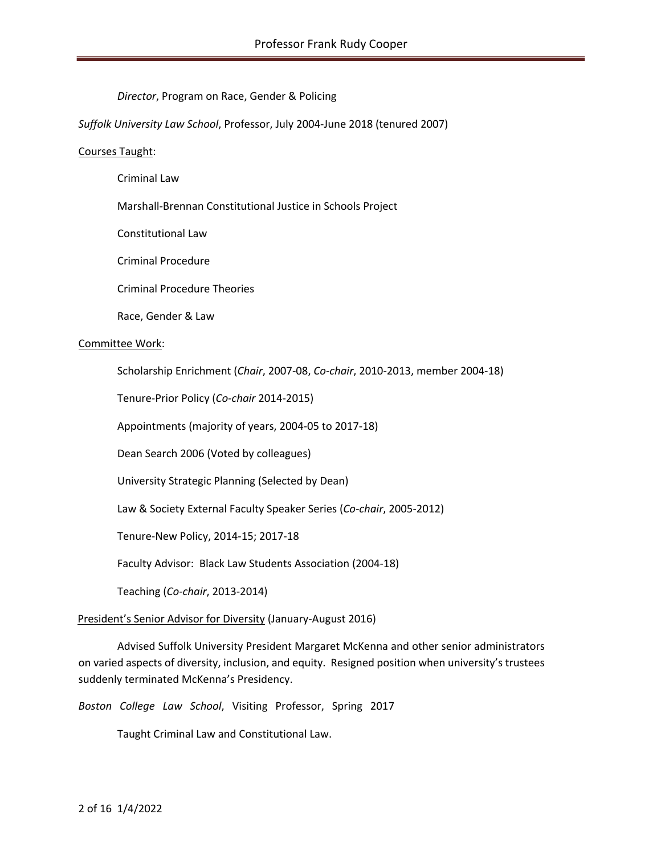*Director*, Program on Race, Gender & Policing

*Suffolk University Law School*, Professor, July 2004-June 2018 (tenured 2007)

#### Courses Taught:

Criminal Law

Marshall-Brennan Constitutional Justice in Schools Project

Constitutional Law

Criminal Procedure

Criminal Procedure Theories

Race, Gender & Law

#### Committee Work:

Scholarship Enrichment (*Chair*, 2007-08, *Co-chair*, 2010-2013, member 2004-18)

Tenure-Prior Policy (*Co-chair* 2014-2015)

Appointments (majority of years, 2004-05 to 2017-18)

Dean Search 2006 (Voted by colleagues)

University Strategic Planning (Selected by Dean)

Law & Society External Faculty Speaker Series (*Co-chair*, 2005-2012)

Tenure-New Policy, 2014-15; 2017-18

Faculty Advisor: Black Law Students Association (2004-18)

Teaching (*Co-chair*, 2013-2014)

#### President's Senior Advisor for Diversity (January-August 2016)

Advised Suffolk University President Margaret McKenna and other senior administrators on varied aspects of diversity, inclusion, and equity. Resigned position when university's trustees suddenly terminated McKenna's Presidency.

*Boston College Law School*, Visiting Professor, Spring 2017

Taught Criminal Law and Constitutional Law.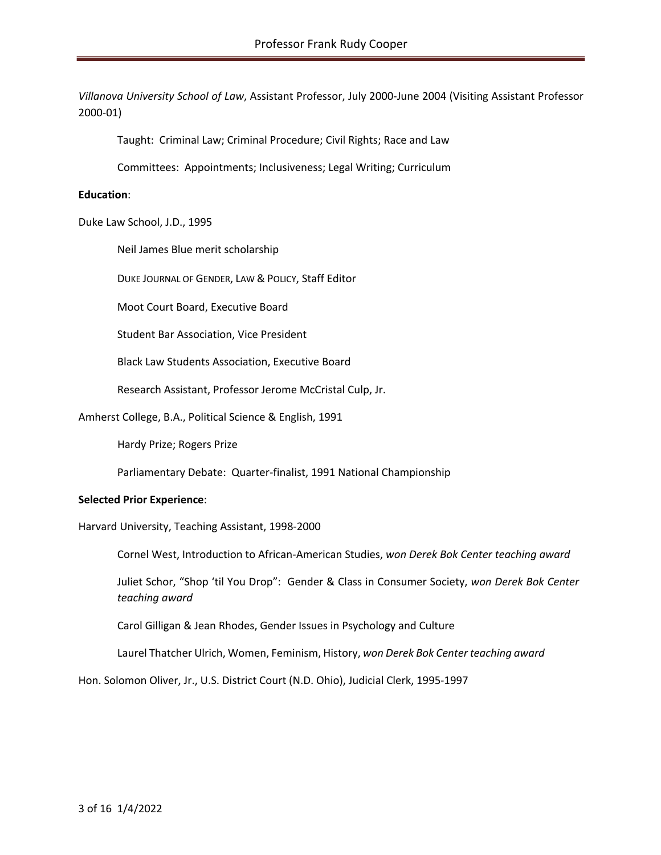*Villanova University School of Law*, Assistant Professor, July 2000-June 2004 (Visiting Assistant Professor 2000-01)

Taught: Criminal Law; Criminal Procedure; Civil Rights; Race and Law

Committees: Appointments; Inclusiveness; Legal Writing; Curriculum

#### **Education**:

Duke Law School, J.D., 1995

Neil James Blue merit scholarship

DUKE JOURNAL OF GENDER, LAW & POLICY, Staff Editor

Moot Court Board, Executive Board

Student Bar Association, Vice President

Black Law Students Association, Executive Board

Research Assistant, Professor Jerome McCristal Culp, Jr.

Amherst College, B.A., Political Science & English, 1991

Hardy Prize; Rogers Prize

Parliamentary Debate: Quarter-finalist, 1991 National Championship

#### **Selected Prior Experience**:

Harvard University, Teaching Assistant, 1998-2000

Cornel West, Introduction to African-American Studies, *won Derek Bok Center teaching award* 

Juliet Schor, "Shop 'til You Drop": Gender & Class in Consumer Society, *won Derek Bok Center teaching award*

Carol Gilligan & Jean Rhodes, Gender Issues in Psychology and Culture

Laurel Thatcher Ulrich, Women, Feminism, History, *won Derek Bok Center teaching award*

Hon. Solomon Oliver, Jr., U.S. District Court (N.D. Ohio), Judicial Clerk, 1995-1997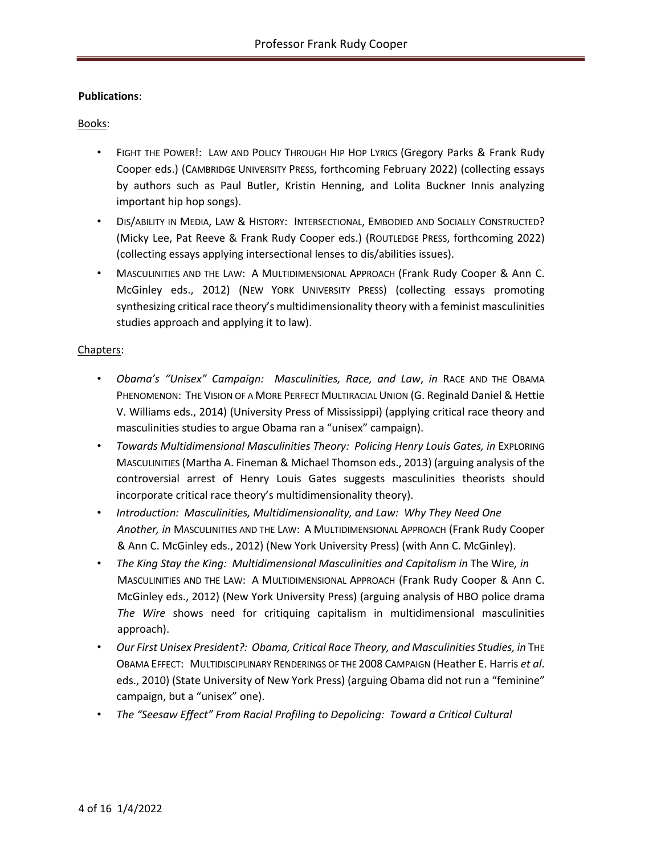## **Publications**:

### Books:

- FIGHT THE POWER!: LAW AND POLICY THROUGH HIP HOP LYRICS (Gregory Parks & Frank Rudy Cooper eds.) (CAMBRIDGE UNIVERSITY PRESS, forthcoming February 2022) (collecting essays by authors such as Paul Butler, Kristin Henning, and Lolita Buckner Innis analyzing important hip hop songs).
- DIS/ABILITY IN MEDIA, LAW & HISTORY: INTERSECTIONAL, EMBODIED AND SOCIALLY CONSTRUCTED? (Micky Lee, Pat Reeve & Frank Rudy Cooper eds.) (ROUTLEDGE PRESS, forthcoming 2022) (collecting essays applying intersectional lenses to dis/abilities issues).
- MASCULINITIES AND THE LAW: A MULTIDIMENSIONAL APPROACH (Frank Rudy Cooper & Ann C. McGinley eds., 2012) (NEW YORK UNIVERSITY PRESS) (collecting essays promoting synthesizing critical race theory's multidimensionality theory with a feminist masculinities studies approach and applying it to law).

#### Chapters:

- *Obama's "Unisex" Campaign: Masculinities, Race, and Law*, *in* RACE AND THE OBAMA PHENOMENON: THE VISION OF A MORE PERFECT MULTIRACIAL UNION (G. Reginald Daniel & Hettie V. Williams eds., 2014) (University Press of Mississippi) (applying critical race theory and masculinities studies to argue Obama ran a "unisex" campaign).
- *Towards Multidimensional Masculinities Theory: Policing Henry Louis Gates, in* EXPLORING MASCULINITIES (Martha A. Fineman & Michael Thomson eds., 2013) (arguing analysis of the controversial arrest of Henry Louis Gates suggests masculinities theorists should incorporate critical race theory's multidimensionality theory).
- *Introduction: Masculinities, Multidimensionality, and Law: Why They Need One Another, in* MASCULINITIES AND THE LAW: A MULTIDIMENSIONAL APPROACH (Frank Rudy Cooper & Ann C. McGinley eds., 2012) (New York University Press) (with Ann C. McGinley).
- *The King Stay the King: Multidimensional Masculinities and Capitalism in* The Wire*, in*  MASCULINITIES AND THE LAW: A MULTIDIMENSIONAL APPROACH (Frank Rudy Cooper & Ann C. McGinley eds., 2012) (New York University Press) (arguing analysis of HBO police drama *The Wire* shows need for critiquing capitalism in multidimensional masculinities approach).
- Our First Unisex President?: Obama, Critical Race Theory, and Masculinities Studies, in THE OBAMA EFFECT: MULTIDISCIPLINARY RENDERINGS OF THE 2008 CAMPAIGN (Heather E. Harris *et al*. eds., 2010) (State University of New York Press) (arguing Obama did not run a "feminine" campaign, but a "unisex" one).
- *The "Seesaw Effect" From Racial Profiling to Depolicing: Toward a Critical Cultural*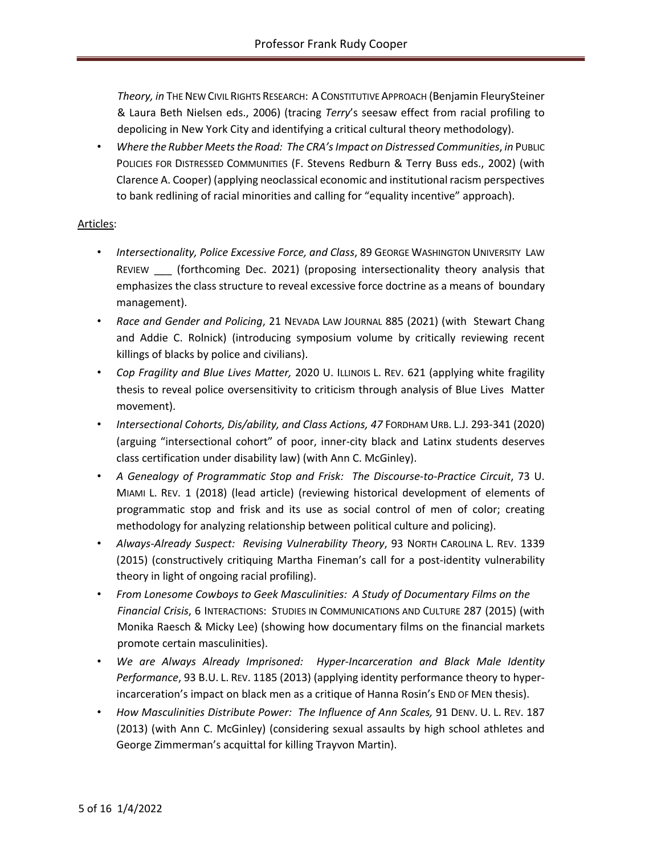*Theory, in* THE NEW CIVIL RIGHTS RESEARCH: A CONSTITUTIVE APPROACH (Benjamin FleurySteiner & Laura Beth Nielsen eds., 2006) (tracing *Terry*'s seesaw effect from racial profiling to depolicing in New York City and identifying a critical cultural theory methodology).

• *Where the Rubber Meets the Road: The CRA's Impact on Distressed Communities*, *in* PUBLIC POLICIES FOR DISTRESSED COMMUNITIES (F. Stevens Redburn & Terry Buss eds., 2002) (with Clarence A. Cooper) (applying neoclassical economic and institutional racism perspectives to bank redlining of racial minorities and calling for "equality incentive" approach).

### Articles:

- *Intersectionality, Police Excessive Force, and Class*, 89 GEORGE WASHINGTON UNIVERSITY LAW REVIEW \_\_\_ (forthcoming Dec. 2021) (proposing intersectionality theory analysis that emphasizes the class structure to reveal excessive force doctrine as a means of boundary management).
- *Race and Gender and Policing*, 21 NEVADA LAW JOURNAL 885 (2021) (with Stewart Chang and Addie C. Rolnick) (introducing symposium volume by critically reviewing recent killings of blacks by police and civilians).
- *Cop Fragility and Blue Lives Matter,* 2020 U. ILLINOIS L. REV. 621 (applying white fragility thesis to reveal police oversensitivity to criticism through analysis of Blue Lives Matter movement).
- *Intersectional Cohorts, Dis/ability, and Class Actions, 47* FORDHAM URB. L.J. 293-341 (2020) (arguing "intersectional cohort" of poor, inner-city black and Latinx students deserves class certification under disability law) (with Ann C. McGinley).
- *A Genealogy of Programmatic Stop and Frisk: The Discourse-to-Practice Circuit*, 73 U. MIAMI L. REV. 1 (2018) (lead article) (reviewing historical development of elements of programmatic stop and frisk and its use as social control of men of color; creating methodology for analyzing relationship between political culture and policing).
- *Always-Already Suspect: Revising Vulnerability Theory*, 93 NORTH CAROLINA L. REV. 1339 (2015) (constructively critiquing Martha Fineman's call for a post-identity vulnerability theory in light of ongoing racial profiling).
- *From Lonesome Cowboys to Geek Masculinities: A Study of Documentary Films on the Financial Crisis*, 6 INTERACTIONS: STUDIES IN COMMUNICATIONS AND CULTURE 287 (2015) (with Monika Raesch & Micky Lee) (showing how documentary films on the financial markets promote certain masculinities).
- *We are Always Already Imprisoned: Hyper-Incarceration and Black Male Identity Performance*, 93 B.U. L. REV. 1185 (2013) (applying identity performance theory to hyperincarceration's impact on black men as a critique of Hanna Rosin's END OF MEN thesis).
- How Masculinities Distribute Power: The Influence of Ann Scales, 91 DENV. U. L. REV. 187 (2013) (with Ann C. McGinley) (considering sexual assaults by high school athletes and George Zimmerman's acquittal for killing Trayvon Martin).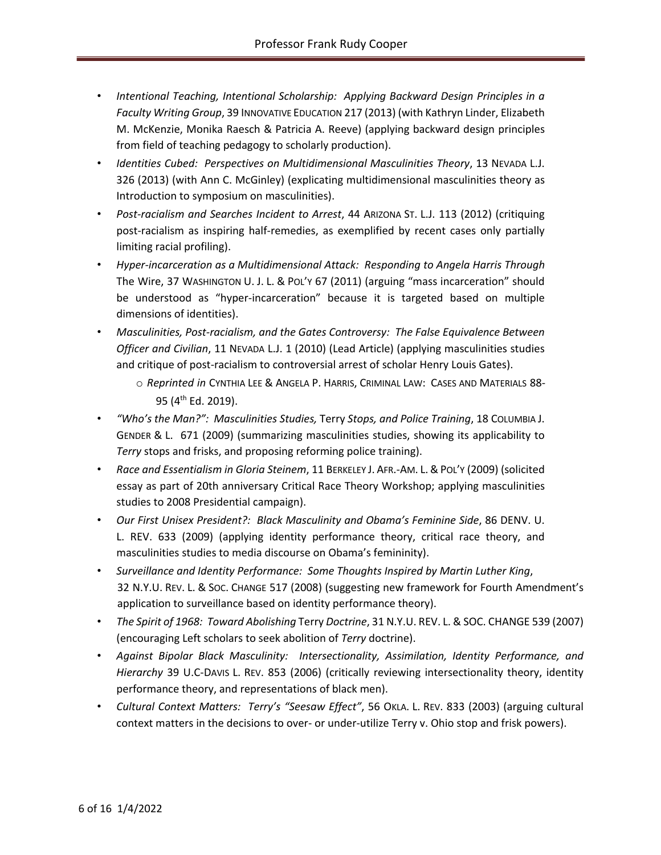- *Intentional Teaching, Intentional Scholarship: Applying Backward Design Principles in a Faculty Writing Group*, 39 INNOVATIVE EDUCATION 217 (2013) (with Kathryn Linder, Elizabeth M. McKenzie, Monika Raesch & Patricia A. Reeve) (applying backward design principles from field of teaching pedagogy to scholarly production).
- *Identities Cubed: Perspectives on Multidimensional Masculinities Theory*, 13 NEVADA L.J. 326 (2013) (with Ann C. McGinley) (explicating multidimensional masculinities theory as Introduction to symposium on masculinities).
- *Post-racialism and Searches Incident to Arrest*, 44 ARIZONA ST. L.J. 113 (2012) (critiquing post-racialism as inspiring half-remedies, as exemplified by recent cases only partially limiting racial profiling).
- *Hyper-incarceration as a Multidimensional Attack: Responding to Angela Harris Through*  The Wire, 37 WASHINGTON U. J. L. & POL'Y 67 (2011) (arguing "mass incarceration" should be understood as "hyper-incarceration" because it is targeted based on multiple dimensions of identities).
- *Masculinities, Post-racialism, and the Gates Controversy: The False Equivalence Between Officer and Civilian*, 11 NEVADA L.J. 1 (2010) (Lead Article) (applying masculinities studies and critique of post-racialism to controversial arrest of scholar Henry Louis Gates).
	- o *Reprinted in* CYNTHIA LEE & ANGELA P. HARRIS, CRIMINAL LAW: CASES AND MATERIALS 88- 95 (4<sup>th</sup> Ed. 2019).
- *"Who's the Man?": Masculinities Studies,* Terry *Stops, and Police Training*, 18 COLUMBIA J. GENDER & L. 671 (2009) (summarizing masculinities studies, showing its applicability to *Terry* stops and frisks, and proposing reforming police training).
- *Race and Essentialism in Gloria Steinem*, 11 BERKELEY J. AFR.-AM. L.&POL'Y (2009) (solicited essay as part of 20th anniversary Critical Race Theory Workshop; applying masculinities studies to 2008 Presidential campaign).
- *Our First Unisex President?: Black Masculinity and Obama's Feminine Side*, 86 DENV. U. L. REV. 633 (2009) (applying identity performance theory, critical race theory, and masculinities studies to media discourse on Obama's femininity).
- *Surveillance and Identity Performance: Some Thoughts Inspired by Martin Luther King*, 32 N.Y.U. REV. L. & SOC. CHANGE 517 (2008) (suggesting new framework for Fourth Amendment's application to surveillance based on identity performance theory).
- *The Spirit of 1968: Toward Abolishing* Terry *Doctrine*, 31 N.Y.U. REV. L. & SOC. CHANGE 539 (2007) (encouraging Left scholars to seek abolition of *Terry* doctrine).
- *Against Bipolar Black Masculinity: Intersectionality, Assimilation, Identity Performance, and Hierarchy* 39 U.C-DAVIS L. REV. 853 (2006) (critically reviewing intersectionality theory, identity performance theory, and representations of black men).
- *Cultural Context Matters: Terry's "Seesaw Effect"*, 56 OKLA. L. REV. 833 (2003) (arguing cultural context matters in the decisions to over- or under-utilize Terry v. Ohio stop and frisk powers).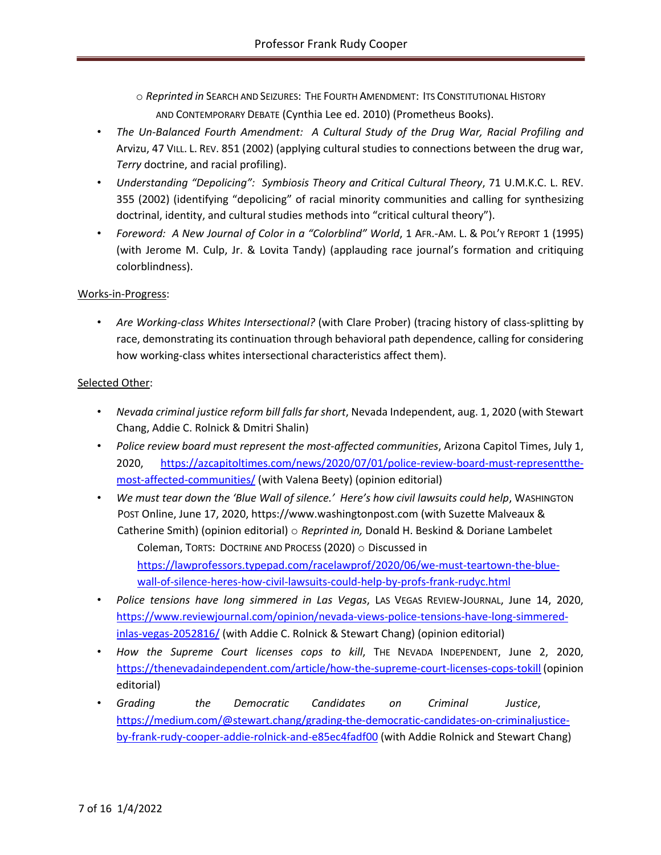- o *Reprinted in* SEARCH AND SEIZURES: THE FOURTH AMENDMENT: ITS CONSTITUTIONAL HISTORY AND CONTEMPORARY DEBATE (Cynthia Lee ed. 2010) (Prometheus Books).
- *The Un-Balanced Fourth Amendment: A Cultural Study of the Drug War, Racial Profiling and*  Arvizu, 47 VILL. L. REV. 851 (2002) (applying cultural studies to connections between the drug war, *Terry* doctrine, and racial profiling).
- *Understanding "Depolicing": Symbiosis Theory and Critical Cultural Theory*, 71 U.M.K.C. L. REV. 355 (2002) (identifying "depolicing" of racial minority communities and calling for synthesizing doctrinal, identity, and cultural studies methods into "critical cultural theory").
- *Foreword: A New Journal of Color in a "Colorblind" World*, 1 AFR.-AM. L. & POL'Y REPORT 1 (1995) (with Jerome M. Culp, Jr. & Lovita Tandy) (applauding race journal's formation and critiquing colorblindness).

# Works-in-Progress:

• *Are Working-class Whites Intersectional?* (with Clare Prober) (tracing history of class-splitting by race, demonstrating its continuation through behavioral path dependence, calling for considering how working-class whites intersectional characteristics affect them).

# Selected Other:

- *Nevada criminal justice reform bill falls far short*, Nevada Independent, aug. 1, 2020 (with Stewart Chang, Addie C. Rolnick & Dmitri Shalin)
- *Police review board must represent the most-affected communities*, Arizona Capitol Times, July 1, 2020, https://azcapitoltimes.com/news/2020/07/01/police-review-board-must-representthemost-affected-communities/ (with Valena Beety) (opinion editorial)
- *We must tear down the 'Blue Wall of silence.' Here's how civil lawsuits could help*, WASHINGTON POST Online, June 17, 2020, https://www.washingtonpost.com (with Suzette Malveaux & Catherine Smith) (opinion editorial) o *Reprinted in,* Donald H. Beskind & Doriane Lambelet Coleman, TORTS: DOCTRINE AND PROCESS (2020) o Discussed in https://lawprofessors.typepad.com/racelawprof/2020/06/we-must-teartown-the-bluewall-of-silence-heres-how-civil-lawsuits-could-help-by-profs-frank-rudyc.html
- *Police tensions have long simmered in Las Vegas*, LAS VEGAS REVIEW-JOURNAL, June 14, 2020, https://www.reviewjournal.com/opinion/nevada-views-police-tensions-have-long-simmeredinlas-vegas-2052816/ (with Addie C. Rolnick & Stewart Chang) (opinion editorial)
- *How the Supreme Court licenses cops to kill*, THE NEVADA INDEPENDENT, June 2, 2020, https://thenevadaindependent.com/article/how-the-supreme-court-licenses-cops-tokill (opinion editorial)
- *Grading the Democratic Candidates on Criminal Justice*, https://medium.com/@stewart.chang/grading-the-democratic-candidates-on-criminaljusticeby-frank-rudy-cooper-addie-rolnick-and-e85ec4fadf00 (with Addie Rolnick and Stewart Chang)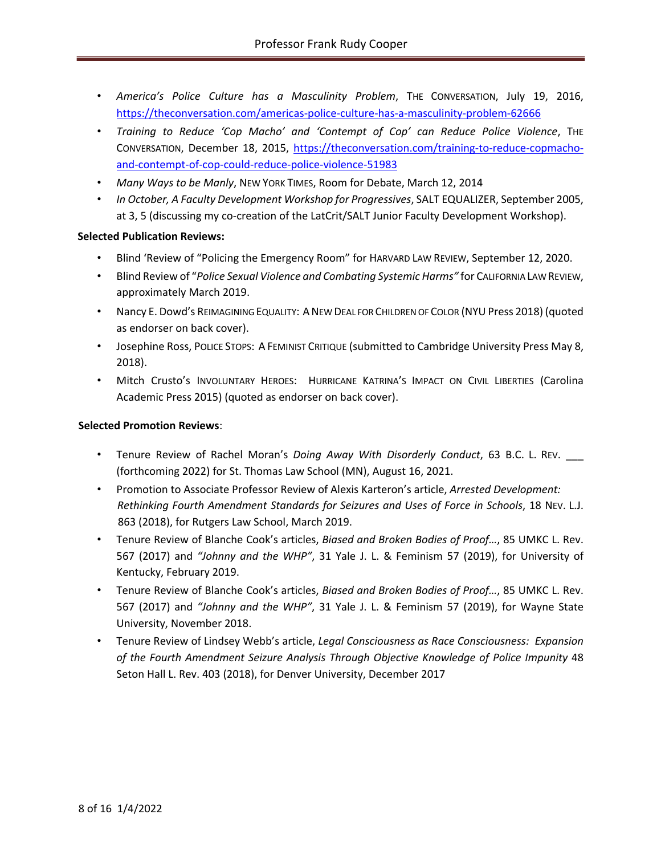- *America's Police Culture has a Masculinity Problem*, THE CONVERSATION, July 19, 2016, https://theconversation.com/americas-police-culture-has-a-masculinity-problem-62666
- *Training to Reduce 'Cop Macho' and 'Contempt of Cop' can Reduce Police Violence*, THE CONVERSATION, December 18, 2015, https://theconversation.com/training-to-reduce-copmachoand-contempt-of-cop-could-reduce-police-violence-51983
- *Many Ways to be Manly*, NEW YORK TIMES, Room for Debate, March 12, 2014
- *In October, A Faculty Development Workshop for Progressives*, SALT EQUALIZER, September 2005, at 3, 5 (discussing my co-creation of the LatCrit/SALT Junior Faculty Development Workshop).

### **Selected Publication Reviews:**

- Blind 'Review of "Policing the Emergency Room" for HARVARD LAW REVIEW, September 12, 2020.
- Blind Review of "*Police Sexual Violence and Combating Systemic Harms"* for CALIFORNIA LAW REVIEW, approximately March 2019.
- Nancy E. Dowd's REIMAGINING EQUALITY: ANEW DEAL FOR CHILDREN OF COLOR (NYU Press 2018) (quoted as endorser on back cover).
- Josephine Ross, POLICE STOPS: A FEMINIST CRITIQUE (submitted to Cambridge University Press May 8, 2018).
- Mitch Crusto's INVOLUNTARY HEROES: HURRICANE KATRINA'S IMPACT ON CIVIL LIBERTIES (Carolina Academic Press 2015) (quoted as endorser on back cover).

#### **Selected Promotion Reviews**:

- Tenure Review of Rachel Moran's *Doing Away With Disorderly Conduct*, 63 B.C. L. REV. \_\_\_ (forthcoming 2022) for St. Thomas Law School (MN), August 16, 2021.
- Promotion to Associate Professor Review of Alexis Karteron's article, *Arrested Development: Rethinking Fourth Amendment Standards for Seizures and Uses of Force in Schools*, 18 NEV. L.J. 863 (2018), for Rutgers Law School, March 2019.
- Tenure Review of Blanche Cook's articles, *Biased and Broken Bodies of Proof…*, 85 UMKC L. Rev. 567 (2017) and *"Johnny and the WHP"*, 31 Yale J. L. & Feminism 57 (2019), for University of Kentucky, February 2019.
- Tenure Review of Blanche Cook's articles, *Biased and Broken Bodies of Proof…*, 85 UMKC L. Rev. 567 (2017) and *"Johnny and the WHP"*, 31 Yale J. L. & Feminism 57 (2019), for Wayne State University, November 2018.
- Tenure Review of Lindsey Webb's article, *Legal Consciousness as Race Consciousness: Expansion of the Fourth Amendment Seizure Analysis Through Objective Knowledge of Police Impunity* 48 Seton Hall L. Rev. 403 (2018), for Denver University, December 2017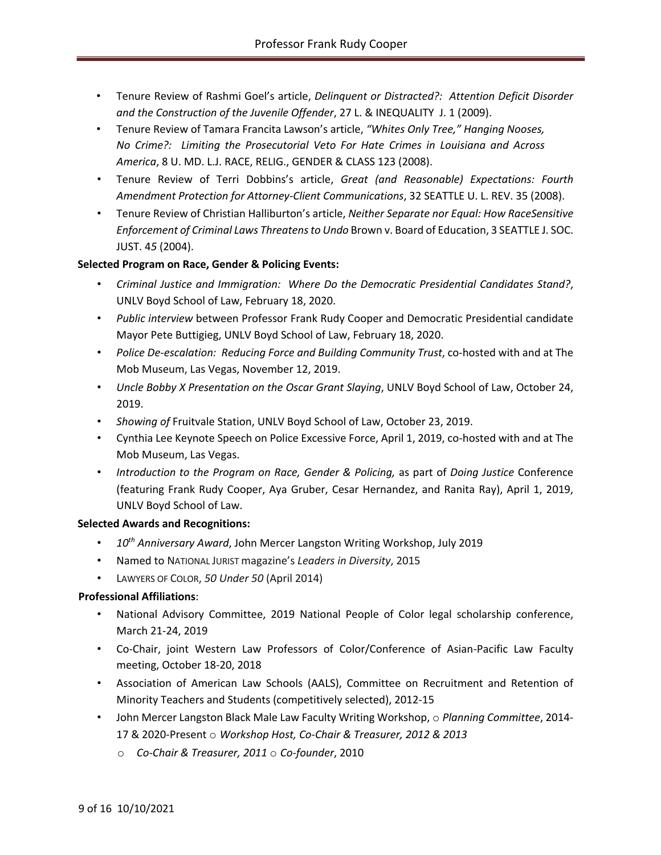- Tenure Review of Rashmi Goel's article, *Delinquent or Distracted?: Attention Deficit Disorder and the Construction of the Juvenile Offender*, 27 L. & INEQUALITY J. 1 (2009).
- Tenure Review of Tamara Francita Lawson's article, *"Whites Only Tree," Hanging Nooses, No Crime?: Limiting the Prosecutorial Veto For Hate Crimes in Louisiana and Across America*, 8 U. MD. L.J. RACE, RELIG., GENDER & CLASS 123 (2008).
- Tenure Review of Terri Dobbins's article, *Great (and Reasonable) Expectations: Fourth Amendment Protection for Attorney-Client Communications*, 32 SEATTLE U. L. REV. 35 (2008).
- Tenure Review of Christian Halliburton's article, *Neither Separate nor Equal: How RaceSensitive Enforcement of Criminal Laws Threatens to Undo* Brown v. Board of Education, 3 SEATTLE J. SOC. JUST. 4*5* (2004).

# **Selected Program on Race, Gender & Policing Events:**

- *Criminal Justice and Immigration: Where Do the Democratic Presidential Candidates Stand?*, UNLV Boyd School of Law, February 18, 2020.
- *Public interview* between Professor Frank Rudy Cooper and Democratic Presidential candidate Mayor Pete Buttigieg, UNLV Boyd School of Law, February 18, 2020.
- *Police De-escalation: Reducing Force and Building Community Trust*, co-hosted with and at The Mob Museum, Las Vegas, November 12, 2019.
- *Uncle Bobby X Presentation on the Oscar Grant Slaying*, UNLV Boyd School of Law, October 24, 2019.
- *Showing of* Fruitvale Station, UNLV Boyd School of Law, October 23, 2019.
- Cynthia Lee Keynote Speech on Police Excessive Force, April 1, 2019, co-hosted with and at The Mob Museum, Las Vegas.
- *Introduction to the Program on Race, Gender & Policing,* as part of *Doing Justice* Conference (featuring Frank Rudy Cooper, Aya Gruber, Cesar Hernandez, and Ranita Ray), April 1, 2019, UNLV Boyd School of Law.

# **Selected Awards and Recognitions:**

- *10th Anniversary Award*, John Mercer Langston Writing Workshop, July 2019
- Named to NATIONAL JURIST magazine's *Leaders in Diversity*, 2015
- LAWYERS OF COLOR, *50 Under 50* (April 2014)

# **Professional Affiliations**:

- National Advisory Committee, 2019 National People of Color legal scholarship conference, March 21-24, 2019
- Co-Chair, joint Western Law Professors of Color/Conference of Asian-Pacific Law Faculty meeting, October 18-20, 2018
- Association of American Law Schools (AALS), Committee on Recruitment and Retention of Minority Teachers and Students (competitively selected), 2012-15
- John Mercer Langston Black Male Law Faculty Writing Workshop, o *Planning Committee*, 2014- 17 & 2020-Present o *Workshop Host, Co-Chair & Treasurer, 2012 & 2013*
	- o *Co-Chair & Treasurer, 2011* o *Co-founder*, 2010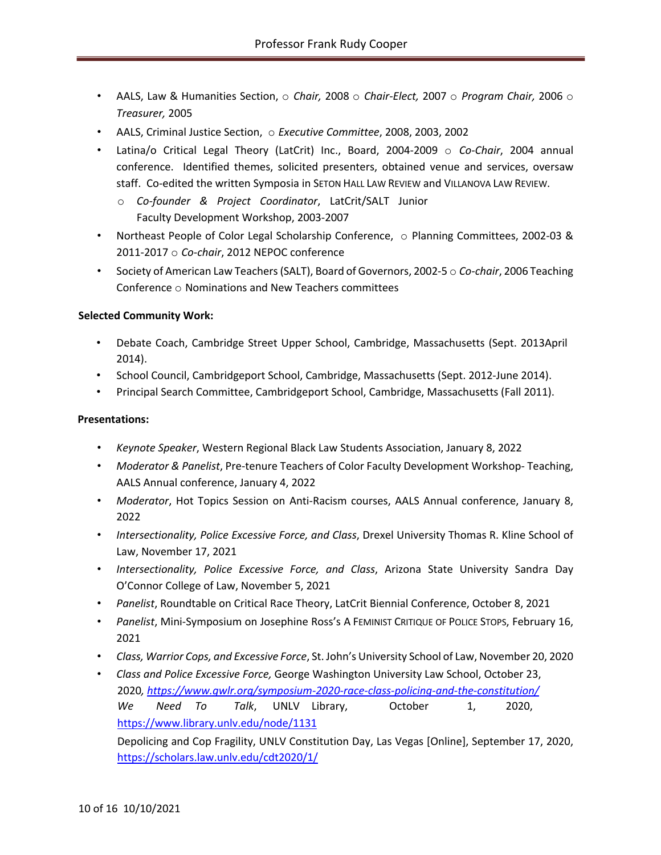- AALS, Law & Humanities Section, o *Chair,* 2008 o *Chair-Elect,* 2007 o *Program Chair,* 2006 o *Treasurer,* 2005
- AALS, Criminal Justice Section, o *Executive Committee*, 2008, 2003, 2002
- Latina/o Critical Legal Theory (LatCrit) Inc., Board, 2004-2009 o *Co-Chair*, 2004 annual conference. Identified themes, solicited presenters, obtained venue and services, oversaw staff. Co-edited the written Symposia in SETON HALL LAW REVIEW and VILLANOVA LAW REVIEW.
	- o *Co-founder & Project Coordinator*, LatCrit/SALT Junior Faculty Development Workshop, 2003-2007
- Northeast People of Color Legal Scholarship Conference, o Planning Committees, 2002-03 & 2011-2017 o *Co-chair*, 2012 NEPOC conference
- Society of American Law Teachers (SALT), Board of Governors, 2002-5  $\circ$  Co-chair, 2006 Teaching Conference o Nominations and New Teachers committees

# **Selected Community Work:**

- Debate Coach, Cambridge Street Upper School, Cambridge, Massachusetts (Sept. 2013April 2014).
- School Council, Cambridgeport School, Cambridge, Massachusetts (Sept. 2012-June 2014).
- Principal Search Committee, Cambridgeport School, Cambridge, Massachusetts (Fall 2011).

### **Presentations:**

- *Keynote Speaker*, Western Regional Black Law Students Association, January 8, 2022
- *Moderator & Panelist*, Pre-tenure Teachers of Color Faculty Development Workshop- Teaching, AALS Annual conference, January 4, 2022
- *Moderator*, Hot Topics Session on Anti-Racism courses, AALS Annual conference, January 8, 2022
- *Intersectionality, Police Excessive Force, and Class*, Drexel University Thomas R. Kline School of Law, November 17, 2021
- *Intersectionality, Police Excessive Force, and Class*, Arizona State University Sandra Day O'Connor College of Law, November 5, 2021
- *Panelist*, Roundtable on Critical Race Theory, LatCrit Biennial Conference, October 8, 2021
- *Panelist*, Mini-Symposium on Josephine Ross's A FEMINIST CRITIQUE OF POLICE STOPS, February 16, 2021
- *Class, Warrior Cops, and Excessive Force*, St. John's University School of Law, November 20, 2020
- *Class and Police Excessive Force,* George Washington University Law School, October 23, 2020*, https://www.gwlr.org/symposium-2020-race-class-policing-and-the-constitution/ We Need To Talk*, UNLV Library, October 1, 2020, https://www.library.unlv.edu/node/1131

Depolicing and Cop Fragility, UNLV Constitution Day, Las Vegas [Online], September 17, 2020, https://scholars.law.unlv.edu/cdt2020/1/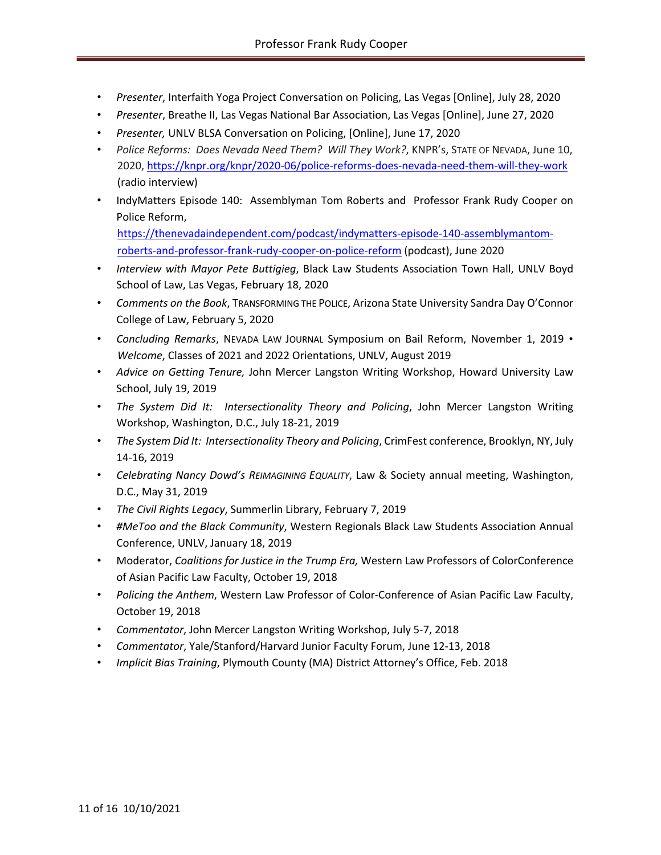- *Presenter*, Interfaith Yoga Project Conversation on Policing, Las Vegas [Online], July 28, 2020
- *Presenter*, Breathe II, Las Vegas National Bar Association, Las Vegas [Online], June 27, 2020
- *Presenter,* UNLV BLSA Conversation on Policing, [Online], June 17, 2020
- *Police Reforms: Does Nevada Need Them? Will They Work?*, KNPR's, STATE OF NEVADA, June 10, 2020, https://knpr.org/knpr/2020-06/police-reforms-does-nevada-need-them-will-they-work (radio interview)
- IndyMatters Episode 140: Assemblyman Tom Roberts and Professor Frank Rudy Cooper on Police Reform, https://thenevadaindependent.com/podcast/indymatters-episode-140-assemblymantom-

roberts-and-professor-frank-rudy-cooper-on-police-reform (podcast), June 2020

- *Interview with Mayor Pete Buttigieg*, Black Law Students Association Town Hall, UNLV Boyd School of Law, Las Vegas, February 18, 2020
- *Comments on the Book*, TRANSFORMING THE POLICE, Arizona State University Sandra Day O'Connor College of Law, February 5, 2020
- *Concluding Remarks*, NEVADA LAW JOURNAL Symposium on Bail Reform, November 1, 2019 *Welcome*, Classes of 2021 and 2022 Orientations, UNLV, August 2019
- *Advice on Getting Tenure,* John Mercer Langston Writing Workshop, Howard University Law School, July 19, 2019
- *The System Did It: Intersectionality Theory and Policing*, John Mercer Langston Writing Workshop, Washington, D.C., July 18-21, 2019
- *The System Did It: Intersectionality Theory and Policing*, CrimFest conference, Brooklyn, NY, July 14-16, 2019
- *Celebrating Nancy Dowd's REIMAGINING EQUALITY*, Law & Society annual meeting, Washington, D.C., May 31, 2019
- *The Civil Rights Legacy*, Summerlin Library, February 7, 2019
- *#MeToo and the Black Community*, Western Regionals Black Law Students Association Annual Conference, UNLV, January 18, 2019
- Moderator, *Coalitions for Justice in the Trump Era,* Western Law Professors of ColorConference of Asian Pacific Law Faculty, October 19, 2018
- *Policing the Anthem*, Western Law Professor of Color-Conference of Asian Pacific Law Faculty, October 19, 2018
- *Commentator*, John Mercer Langston Writing Workshop, July 5-7, 2018
- *Commentator*, Yale/Stanford/Harvard Junior Faculty Forum, June 12-13, 2018
- *Implicit Bias Training*, Plymouth County (MA) District Attorney's Office, Feb. 2018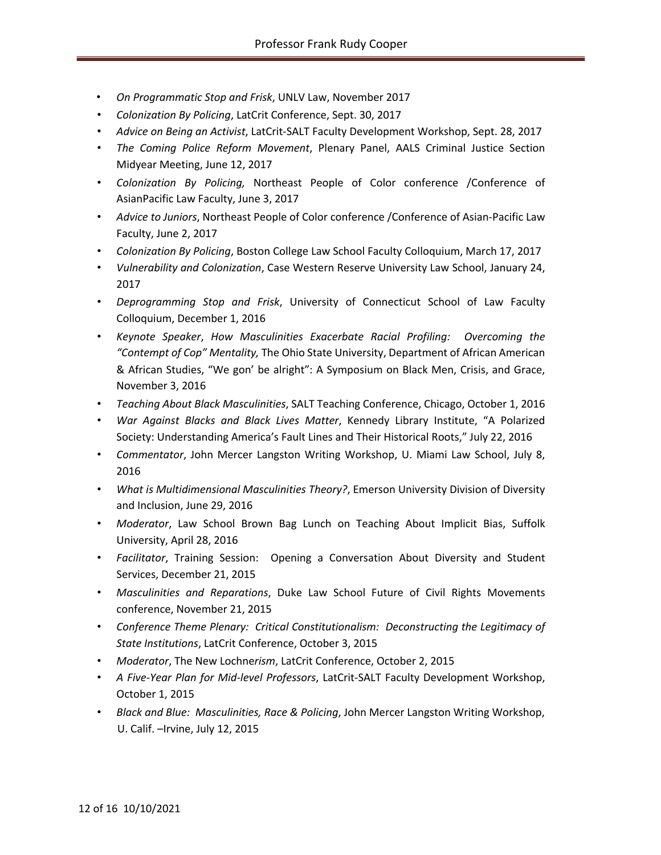- *On Programmatic Stop and Frisk*, UNLV Law, November 2017
- *Colonization By Policing*, LatCrit Conference, Sept. 30, 2017
- *Advice on Being an Activist*, LatCrit-SALT Faculty Development Workshop, Sept. 28, 2017
- *The Coming Police Reform Movement*, Plenary Panel, AALS Criminal Justice Section Midyear Meeting, June 12, 2017
- *Colonization By Policing,* Northeast People of Color conference /Conference of AsianPacific Law Faculty, June 3, 2017
- *Advice to Juniors*, Northeast People of Color conference /Conference of Asian-Pacific Law Faculty, June 2, 2017
- *Colonization By Policing*, Boston College Law School Faculty Colloquium, March 17, 2017
- *Vulnerability and Colonization*, Case Western Reserve University Law School, January 24, 2017
- *Deprogramming Stop and Frisk*, University of Connecticut School of Law Faculty Colloquium, December 1, 2016
- *Keynote Speaker*, *How Masculinities Exacerbate Racial Profiling: Overcoming the "Contempt of Cop" Mentality,* The Ohio State University, Department of African American & African Studies, "We gon' be alright": A Symposium on Black Men, Crisis, and Grace, November 3, 2016
- *Teaching About Black Masculinities*, SALT Teaching Conference, Chicago, October 1, 2016
- *War Against Blacks and Black Lives Matter*, Kennedy Library Institute, "A Polarized Society: Understanding America's Fault Lines and Their Historical Roots," July 22, 2016
- *Commentator*, John Mercer Langston Writing Workshop, U. Miami Law School, July 8, 2016
- *What is Multidimensional Masculinities Theory?*, Emerson University Division of Diversity and Inclusion, June 29, 2016
- *Moderator*, Law School Brown Bag Lunch on Teaching About Implicit Bias, Suffolk University, April 28, 2016
- *Facilitator*, Training Session: Opening a Conversation About Diversity and Student Services, December 21, 2015
- *Masculinities and Reparations*, Duke Law School Future of Civil Rights Movements conference, November 21, 2015
- *Conference Theme Plenary: Critical Constitutionalism: Deconstructing the Legitimacy of State Institutions*, LatCrit Conference, October 3, 2015
- *Moderator*, The New Lochne*rism*, LatCrit Conference, October 2, 2015
- *A Five-Year Plan for Mid-level Professors*, LatCrit-SALT Faculty Development Workshop, October 1, 2015
- *Black and Blue: Masculinities, Race & Policing*, John Mercer Langston Writing Workshop, U. Calif. –Irvine, July 12, 2015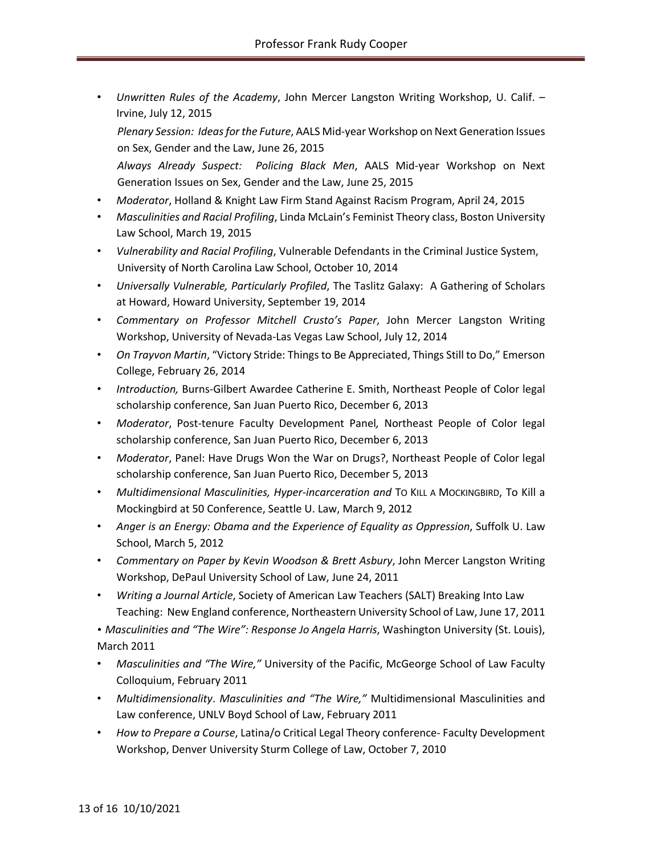• *Unwritten Rules of the Academy*, John Mercer Langston Writing Workshop, U. Calif. – Irvine, July 12, 2015 *Plenary Session: Ideas for the Future*, AALS Mid-year Workshop on Next Generation Issues

on Sex, Gender and the Law, June 26, 2015

*Always Already Suspect: Policing Black Men*, AALS Mid-year Workshop on Next Generation Issues on Sex, Gender and the Law, June 25, 2015

- *Moderator*, Holland & Knight Law Firm Stand Against Racism Program, April 24, 2015
- *Masculinities and Racial Profiling*, Linda McLain's Feminist Theory class, Boston University Law School, March 19, 2015
- *Vulnerability and Racial Profiling*, Vulnerable Defendants in the Criminal Justice System, University of North Carolina Law School, October 10, 2014
- *Universally Vulnerable, Particularly Profiled*, The Taslitz Galaxy: A Gathering of Scholars at Howard, Howard University, September 19, 2014
- *Commentary on Professor Mitchell Crusto's Paper*, John Mercer Langston Writing Workshop, University of Nevada-Las Vegas Law School, July 12, 2014
- *On Trayvon Martin*, "Victory Stride: Things to Be Appreciated, Things Still to Do," Emerson College, February 26, 2014
- *Introduction,* Burns-Gilbert Awardee Catherine E. Smith, Northeast People of Color legal scholarship conference, San Juan Puerto Rico, December 6, 2013
- *Moderator*, Post-tenure Faculty Development Panel*,* Northeast People of Color legal scholarship conference, San Juan Puerto Rico, December 6, 2013
- *Moderator*, Panel: Have Drugs Won the War on Drugs?, Northeast People of Color legal scholarship conference, San Juan Puerto Rico, December 5, 2013
- *Multidimensional Masculinities, Hyper-incarceration and* To KILL A MOCKINGBIRD, To Kill a Mockingbird at 50 Conference, Seattle U. Law, March 9, 2012
- *Anger is an Energy: Obama and the Experience of Equality as Oppression*, Suffolk U. Law School, March 5, 2012
- *Commentary on Paper by Kevin Woodson & Brett Asbury*, John Mercer Langston Writing Workshop, DePaul University School of Law, June 24, 2011
- *Writing a Journal Article*, Society of American Law Teachers (SALT) Breaking Into Law Teaching: New England conference, Northeastern University School of Law, June 17, 2011

• *Masculinities and "The Wire": Response Jo Angela Harris*, Washington University (St. Louis), March 2011

- *Masculinities and "The Wire,"* University of the Pacific, McGeorge School of Law Faculty Colloquium, February 2011
- *Multidimensionality*. *Masculinities and "The Wire,"* Multidimensional Masculinities and Law conference, UNLV Boyd School of Law, February 2011
- *How to Prepare a Course*, Latina/o Critical Legal Theory conference- Faculty Development Workshop, Denver University Sturm College of Law, October 7, 2010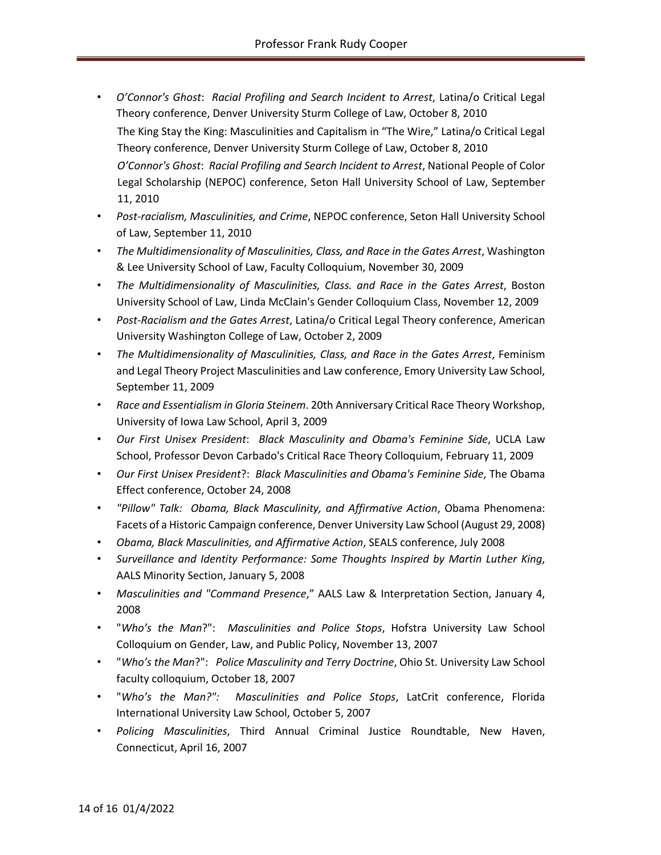- *O'Connor's Ghost*: *Racial Profiling and Search Incident to Arrest*, Latina/o Critical Legal Theory conference, Denver University Sturm College of Law, October 8, 2010 The King Stay the King: Masculinities and Capitalism in "The Wire," Latina/o Critical Legal Theory conference, Denver University Sturm College of Law, October 8, 2010 *O'Connor's Ghost*: *Racial Profiling and Search Incident to Arrest*, National People of Color Legal Scholarship (NEPOC) conference, Seton Hall University School of Law, September 11, 2010
- *Post-racialism, Masculinities, and Crime*, NEPOC conference, Seton Hall University School of Law, September 11, 2010
- *The Multidimensionality of Masculinities, Class, and Race in the Gates Arrest*, Washington & Lee University School of Law, Faculty Colloquium, November 30, 2009
- *The Multidimensionality of Masculinities, Class. and Race in the Gates Arrest*, Boston University School of Law, Linda McClain's Gender Colloquium Class, November 12, 2009
- *Post-Racialism and the Gates Arrest*, Latina/o Critical Legal Theory conference, American University Washington College of Law, October 2, 2009
- *The Multidimensionality of Masculinities, Class, and Race in the Gates Arrest*, Feminism and Legal Theory Project Masculinities and Law conference, Emory University Law School, September 11, 2009
- *Race and Essentialism in Gloria Steinem*. 20th Anniversary Critical Race Theory Workshop, University of Iowa Law School, April 3, 2009
- *Our First Unisex President*: *Black Masculinity and Obama's Feminine Side*, UCLA Law School, Professor Devon Carbado's Critical Race Theory Colloquium, February 11, 2009
- *Our First Unisex President*?: *Black Masculinities and Obama's Feminine Side*, The Obama Effect conference, October 24, 2008
- *"Pillow" Talk: Obama, Black Masculinity, and Affirmative Action*, Obama Phenomena: Facets of a Historic Campaign conference, Denver University Law School (August 29, 2008)
- *Obama, Black Masculinities, and Affirmative Action*, SEALS conference, July 2008
- *Surveillance and Identity Performance: Some Thoughts Inspired by Martin Luther King*, AALS Minority Section, January 5, 2008
- *Masculinities and "Command Presence*," AALS Law & Interpretation Section, January 4, 2008
- "*Who's the Man*?": *Masculinities and Police Stops*, Hofstra University Law School Colloquium on Gender, Law, and Public Policy, November 13, 2007
- "*Who's the Man*?": *Police Masculinity and Terry Doctrine*, Ohio St. University Law School faculty colloquium, October 18, 2007
- "*Who's the Man?": Masculinities and Police Stops*, LatCrit conference, Florida International University Law School, October 5, 2007
- *Policing Masculinities*, Third Annual Criminal Justice Roundtable, New Haven, Connecticut, April 16, 2007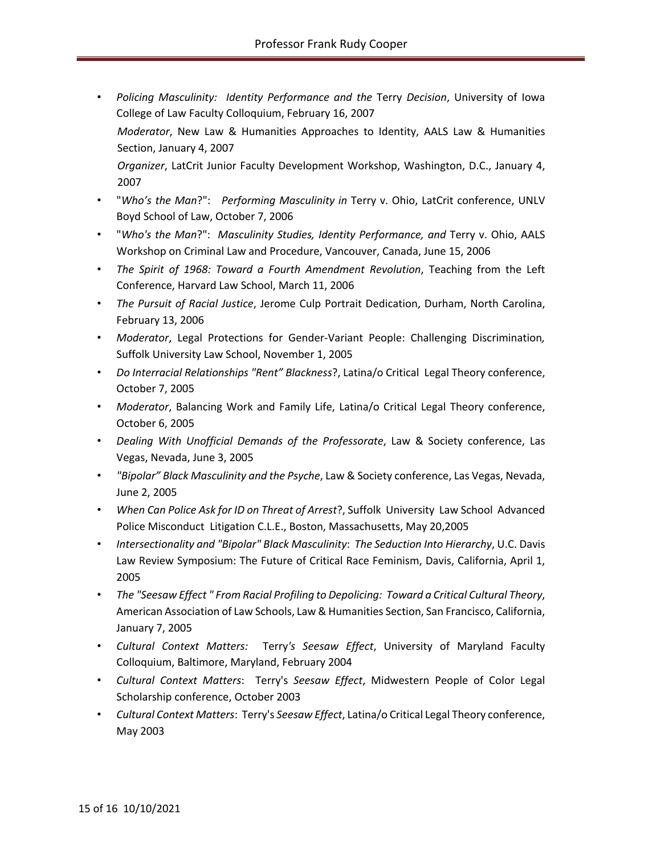- *Policing Masculinity: Identity Performance and the* Terry *Decision*, University of Iowa College of Law Faculty Colloquium, February 16, 2007 *Moderator*, New Law & Humanities Approaches to Identity, AALS Law & Humanities Section, January 4, 2007 *Organizer*, LatCrit Junior Faculty Development Workshop, Washington, D.C., January 4, 2007
- "*Who's the Man*?": *Performing Masculinity in* Terry v. Ohio, LatCrit conference, UNLV Boyd School of Law, October 7, 2006
- "*Who's the Man*?": *Masculinity Studies, Identity Performance, and* Terry v. Ohio, AALS Workshop on Criminal Law and Procedure, Vancouver, Canada, June 15, 2006
- *The Spirit of 1968: Toward a Fourth Amendment Revolution*, Teaching from the Left Conference, Harvard Law School, March 11, 2006
- *The Pursuit of Racial Justice*, Jerome Culp Portrait Dedication, Durham, North Carolina, February 13, 2006
- *Moderator*, Legal Protections for Gender-Variant People: Challenging Discrimination*,* Suffolk University Law School, November 1, 2005
- *Do Interracial Relationships "Rent" Blackness*?, Latina/o Critical Legal Theory conference, October 7, 2005
- *Moderator*, Balancing Work and Family Life, Latina/o Critical Legal Theory conference, October 6, 2005
- *Dealing With Unofficial Demands of the Professorate*, Law & Society conference, Las Vegas, Nevada, June 3, 2005
- *"Bipolar" Black Masculinity and the Psyche*, Law & Society conference, Las Vegas, Nevada, June 2, 2005
- *When Can Police Ask for ID on Threat of Arrest*?, Suffolk University Law School Advanced Police Misconduct Litigation C.L.E., Boston, Massachusetts, May 20,2005
- *Intersectionality and "Bipolar" Black Masculinity*: *The Seduction Into Hierarchy*, U.C. Davis Law Review Symposium: The Future of Critical Race Feminism, Davis, California, April 1, 2005
- *The "Seesaw Effect " From Racial Profiling to Depolicing: Toward a Critical Cultural Theory*, American Association of Law Schools, Law & Humanities Section, San Francisco, California, January 7, 2005
- *Cultural Context Matters:* Terry*'s Seesaw Effect*, University of Maryland Faculty Colloquium, Baltimore, Maryland, February 2004
- *Cultural Context Matters*: Terry's *Seesaw Effect*, Midwestern People of Color Legal Scholarship conference, October 2003
- *Cultural Context Matters*: Terry's *Seesaw Effect*, Latina/o Critical Legal Theory conference, May 2003